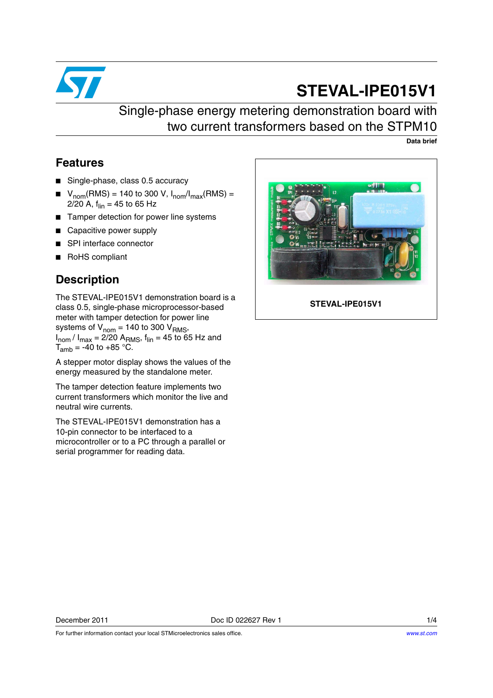

# **STEVAL-IPE015V1**

## Single-phase energy metering demonstration board with two current transformers based on the STPM10

**Data brief**

### **Features**

- Single-phase, class 0.5 accuracy
- $V_{\text{nom}}(\text{RMS}) = 140$  to 300 V,  $I_{\text{nom}}/I_{\text{max}}(\text{RMS}) =$ 2/20 A,  $f_{lin} = 45$  to 65 Hz
- Tamper detection for power line systems
- Capacitive power supply
- SPI interface connector
- RoHS compliant

### **Description**

The STEVAL-IPE015V1 demonstration board is a class 0.5, single-phase microprocessor-based meter with tamper detection for power line systems of  $V_{\text{nom}} = 140$  to 300  $V_{\text{RMS}}$ ,  $I_{\text{nom}}/I_{\text{max}} = 2/20$  A<sub>RMS</sub>,  $f_{\text{lin}} = 45$  to 65 Hz and  $T_{amb}$  = -40 to +85 °C.

A stepper motor display shows the values of the energy measured by the standalone meter.

The tamper detection feature implements two current transformers which monitor the live and neutral wire currents.

The STEVAL-IPE015V1 demonstration has a 10-pin connector to be interfaced to a microcontroller or to a PC through a parallel or serial programmer for reading data.



**STEVAL-IPE015V1**

For further information contact your local STMicroelectronics sales office.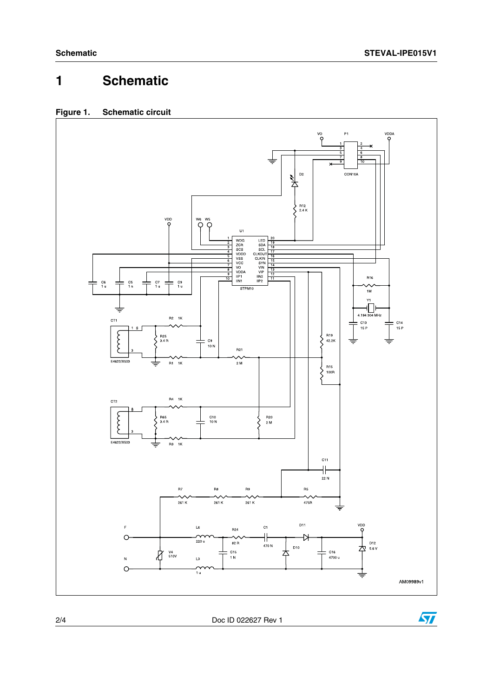## **1 Schematic**

#### **Figure 1. Schematic circuit**



2/4 Doc ID 022627 Rev 1

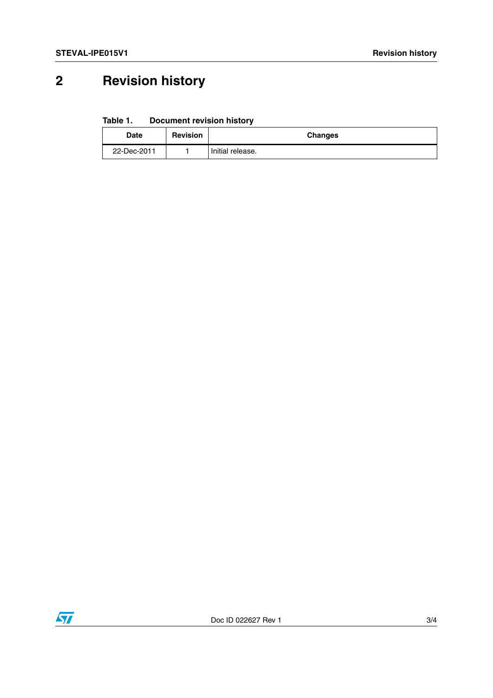# **2 Revision history**

**Table 1. Document revision history**

| <b>Date</b> | <b>Revision</b> | <b>Changes</b>   |
|-------------|-----------------|------------------|
| 22-Dec-2011 |                 | Initial release. |